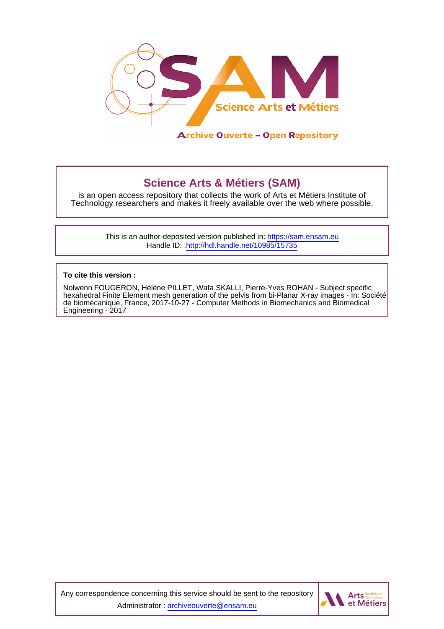

# **Science Arts & Métiers (SAM)**

is an open access repository that collects the work of Arts et Métiers Institute of Technology researchers and makes it freely available over the web where possible.

> This is an author-deposited version published in:<https://sam.ensam.eu> Handle ID: [.http://hdl.handle.net/10985/15735](http://hdl.handle.net/10985/15735)

**To cite this version :**

Nolwenn FOUGERON, Hélène PILLET, Wafa SKALLI, Pierre-Yves ROHAN - Subject specific hexahedral Finite Element mesh generation of the pelvis from bi-Planar X-ray images - In: Société de biomécanique, France, 2017-10-27 - Computer Methods in Biomechanics and Biomedical Engineering - 2017

Any correspondence concerning this service should be sent to the repository Administrator : [archiveouverte@ensam.eu](mailto:archiveouverte@ensam.eu)

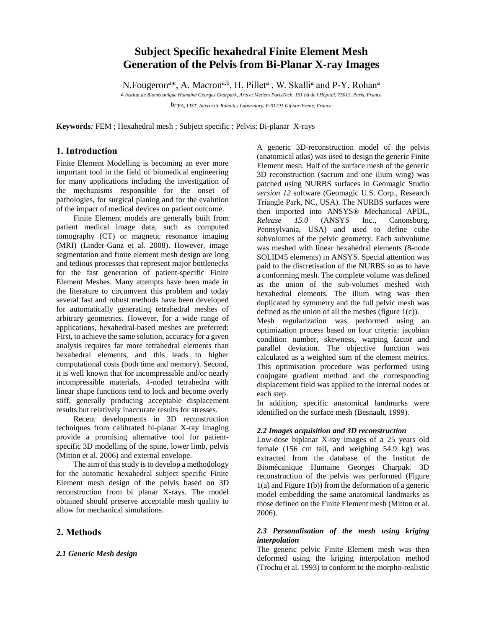# **Subject Specific hexahedral Finite Element Mesh Generation of the Pelvis from Bi-Planar X-ray Images**

N.Fougeron<sup>a\*</sup>, A. Macron<sup>a,b</sup>, H. Pillet<sup>a</sup>, W. Skalli<sup>a</sup> and P-Y. Rohan<sup>a</sup>

a *Institut de Biomécanique Humaine Georges Charpark, Arts et Metiers ParisTech, 151 bd de l'Hôpital, 75013. Paris, France*

b*CEA, LIST, Interactiv Robotics Laboratory, F-91191 Gif-sur-Yvette, France*

**Keywords***:* FEM ; Hexahedral mesh ; Subject specific ; Pelvis; Bi-planar X-rays

## **1. Introduction**

Finite Element Modelling is becoming an ever more important tool in the field of biomedical engineering for many applications including the investigation of the mechanisms responsible for the onset of pathologies, for surgical planing and for the evalution of the impact of medical devices on patient outcome.

Finite Element models are generally built from patient medical image data, such as computed tomography (CT) or magnetic resonance imaging (MRI) (Linder-Ganz et al. 2008). However, image segmentation and finite element mesh design are long and tedious processes that represent major bottlenecks for the fast generation of patient-specific Finite Element Meshes. Many attempts have been made in the literature to circumvent this problem and today several fast and robust methods have been developed for automatically generating tetrahedral meshes of arbitrary geometries. However, for a wide range of applications, hexahedral-based meshes are preferred: First, to achieve the same solution, accuracy for a given analysis requires far more tetrahedral elements than hexahedral elements, and this leads to higher computational costs (both time and memory). Second, it is well known that for incompressible and/or nearly incompressible materials, 4-noded tetrahedra with linear shape functions tend to lock and become overly stiff, generally producing acceptable displacement results but relatively inaccurate results for stresses.

Recent developments in 3D reconstruction techniques from calibrated bi-planar X-ray imaging provide a promising alternative tool for patientspecific 3D modelling of the spine, lower limb, pelvis (Mitton et al. 2006) and external envelope.

The aim of this study is to develop a methodology for the automatic hexahedral subject specific Finite Element mesh design of the pelvis based on 3D reconstruction from bi planar X-rays. The model obtained should preserve acceptable mesh quality to allow for mechanical simulations.

## **2. Methods**

#### *2.1 Generic Mesh design*

A generic 3D-reconstruction model of the pelvis (anatomical atlas) was used to design the generic Finite Element mesh. Half of the surface mesh of the generic 3D reconstruction (sacrum and one ilium wing) was patched using NURBS surfaces in Geomagic Studio *version 12* software (Geomagic U.S. Corp., Research Triangle Park, NC, USA). The NURBS surfaces were then imported into ANSYS® Mechanical APDL, *Release 15.0* (ANSYS Inc., Canonsburg, Pennsylvania, USA) and used to define cube subvolumes of the pelvic geometry. Each subvolume was meshed with linear hexahedral elements (8-node SOLID45 elements) in ANSYS. Special attention was paid to the discretisation of the NURBS so as to have a conforming mesh. The complete volume was defined as the union of the sub-volumes meshed with hexahedral elements. The ilium wing was then duplicated by symmetry and the full pelvic mesh was defined as the union of all the meshes (figure  $1(c)$ ).

Mesh regularization was performed using an optimization process based on four criteria: jacobian condition number, skewness, warping factor and parallel deviation. The objective function was calculated as a weighted sum of the element metrics. This optimisation procedure was performed using conjugate gradient method and the corresponding displacement field was applied to the internal nodes at each step.

In addition, specific anatomical landmarks were identified on the surface mesh (Besnault, 1999).

#### *2.2 Images acquisition and 3D reconstruction*

Low-dose biplanar X-ray images of a 25 years old female (156 cm tall, and weighing 54.9 kg) was extracted from the database of the Institut de Biomécanique Humaine Georges Charpak. 3D reconstruction of the pelvis was performed (Figure 1(a) and Figure 1(b)) from the deformation of a generic model embedding the same anatomical landmarks as those defined on the Finite Element mesh (Mitton et al. 2006).

### *2.3 Personalisation of the mesh using kriging interpolation*

The generic pelvic Finite Element mesh was then deformed using the kriging interpolation method (Trochu et al. 1993) to conform to the morpho-realistic